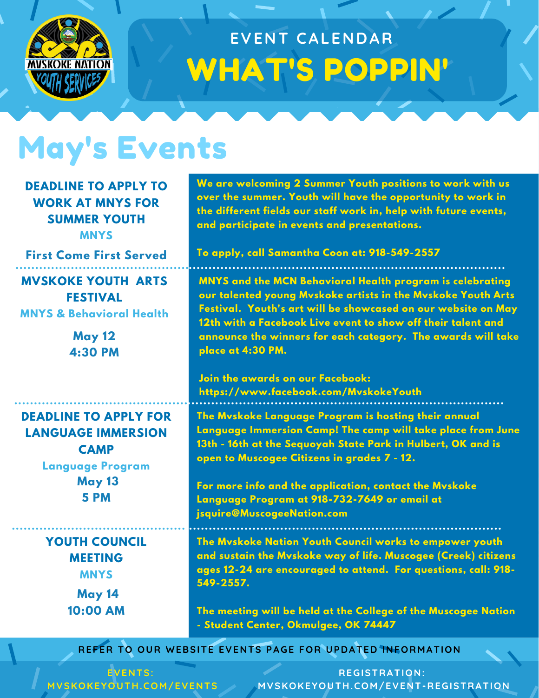

## WHAT'S POPPIN' **EVENT CALENDAR**

## May's Events

**DEADLINE TO APPLY TO WORK AT MNYS FOR SUMMER YOUTH MNYS**

**First Come First Served**

#### **MVSKOKE YOUTH ARTS FESTIVAL MNYS & Behavioral Health**

**May 12 4:30 PM**

**DEADLINE TO APPLY FOR LANGUAGE IMMERSION CAMP**

**Language Program May 13 5 PM**

#### **YOUTH COUNCIL MEETING MNYS**

**May 14 10:00 AM**

**We are welcoming 2 Summer Youth positions to work with us over the summer. Youth will have the opportunity to work in the different fields our staff work in, help with future events, and participate in events and presentations.**

**To apply, call Samantha Coon at: 918-549-2557**

**MNYS and the MCN Behavioral Health program is celebrating our talented young Mvskoke artists in the Mvskoke Youth Arts Festival. Youth's art will be showcased on our website on May 12th with a Facebook Live event to show off their talent and announce the winners for each category. The awards will take place at 4:30 PM.**

#### **Join the awards on our Facebook: https://www.facebook.com/MvskokeYouth**

**The Mvskoke Language Program is hosting their annual Language Immersion Camp! The camp will take place from June 13th - 16th at the Sequoyah State Park in Hulbert, OK and is open to Muscogee Citizens in grades 7 - 12.**

**For more info and the application, contact the Mvskoke Language Program at 918-732-7649 or email at jsquire@MuscogeeNation.com**

**The Mvskoke Nation Youth Council works to empower youth and sustain the Mvskoke way of life. Muscogee (Creek) citizens ages 12-24 are encouraged to attend. For questions, call: 918- 549-2557.**

**The meeting will be held at the College of the Muscogee Nation - Student Center, Okmulgee, OK 74447**

**REFER TO OUR WEBSITE EVENTS PAGE FOR UPDATED INFORMATION**

**EVENTS: MVSKOKEYOUTH.COM/EVENTS**

**REGISTRATION: MVSKOKEYOUTH.COM/EVENT-REGISTRATION**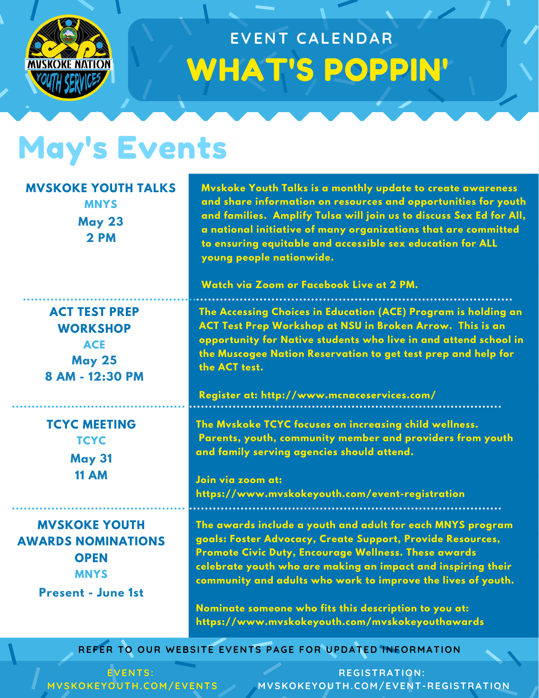

### WHAT'S POPPIN' **EVENT CALENDAR**

#### May's Events

#### **MVSKOKE YOUTH TALKS**

**MNYS May 23 2 PM**

**ACT TEST PREP WORKSHOP ACE May 25 8 AM - 12:30 PM**

**TCYC MEETING TCYC May 31 11 AM**

**MVSKOKE YOUTH AWARDS NOMINATIONS OPEN MNYS**

**Present - June 1st**

**Mvskoke Youth Talks is a monthly update to create awareness and share information on resources and opportunities for youth and families. Amplify Tulsa will join us to discuss Sex Ed for All, a national initiative of many organizations that are committed to ensuring equitable and accessible sex education for ALL young people nationwide.**

**Watch via Zoom or Facebook Live at 2 PM.**

**The Accessing Choices in Education (ACE) Program is holding an ACT Test Prep Workshop at NSU in Broken Arrow. This is an opportunity for Native students who live in and attend school in the Muscogee Nation Reservation to get test prep and help for the ACT test.**

**Register at: http://www.mcnaceservices.com/**

**The Mvskoke TCYC focuses on increasing child wellness. Parents, youth, community member and providers from youth and family serving agencies should attend.**

**Join via zoom at: https://www.mvskokeyouth.com/event-registration**

**The awards include a youth and adult for each MNYS program goals: Foster Advocacy, Create Support, Provide Resources, Promote Civic Duty, Encourage Wellness. These awards celebrate youth who are making an impact and inspiring their community and adults who work to improve the lives of youth.**

**Nominate someone who fits this description to you at: https://www.mvskokeyouth.com/mvskokeyouthawards**

**REFER TO OUR WEBSITE EVENTS PAGE FOR UPDATED INFORMATION**

**EVENTS: MVSKOKEYOUTH.COM/EVENTS**

**REGISTRATION: MVSKOKEYOUTH.COM/EVENT-REGISTRATION**